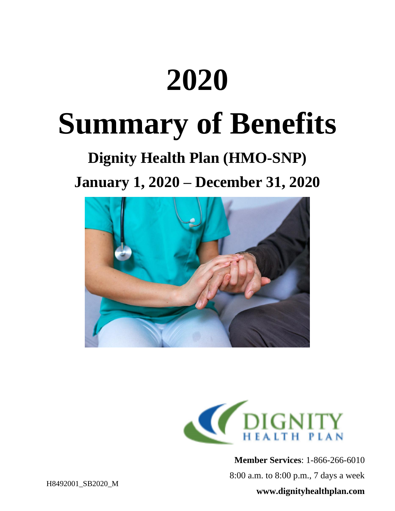# **2020**

## **Summary of Benefits**

## **Dignity Health Plan (HMO-SNP)**

**January 1, 2020 – December 31, 2020**





**Member Services**: 1-866-266-6010

8:00 a.m. to 8:00 p.m., 7 days a week

#### **www.dignityhealthplan.com**

H8492001\_SB2020\_M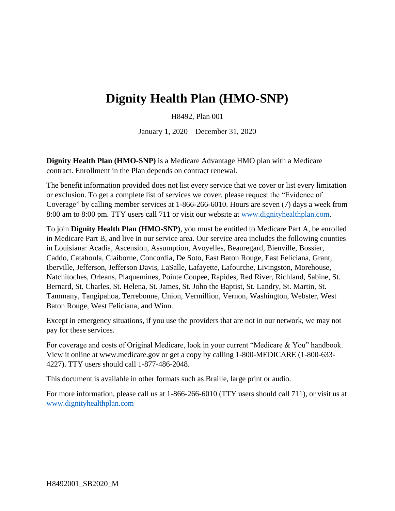### **Dignity Health Plan (HMO-SNP)**

H8492, Plan 001

January 1, 2020 – December 31, 2020

**Dignity Health Plan (HMO-SNP)** is a Medicare Advantage HMO plan with a Medicare contract. Enrollment in the Plan depends on contract renewal.

The benefit information provided does not list every service that we cover or list every limitation or exclusion. To get a complete list of services we cover, please request the "Evidence of Coverage" by calling member services at 1-866-266-6010. Hours are seven (7) days a week from 8:00 am to 8:00 pm. TTY users call 711 or visit our website at [www.dignityhealthplan.com.](http://www.dignityhealthplan.com/)

To join **Dignity Health Plan (HMO-SNP)**, you must be entitled to Medicare Part A, be enrolled in Medicare Part B, and live in our service area. Our service area includes the following counties in Louisiana: Acadia, Ascension, Assumption, Avoyelles, Beauregard, Bienville, Bossier, Caddo, Catahoula, Claiborne, Concordia, De Soto, East Baton Rouge, East Feliciana, Grant, Iberville, Jefferson, Jefferson Davis, LaSalle, Lafayette, Lafourche, Livingston, Morehouse, Natchitoches, Orleans, Plaquemines, Pointe Coupee, Rapides, Red River, Richland, Sabine, St. Bernard, St. Charles, St. Helena, St. James, St. John the Baptist, St. Landry, St. Martin, St. Tammany, Tangipahoa, Terrebonne, Union, Vermillion, Vernon, Washington, Webster, West Baton Rouge, West Feliciana, and Winn.

Except in emergency situations, if you use the providers that are not in our network, we may not pay for these services.

For coverage and costs of Original Medicare, look in your current "Medicare & You" handbook. View it online at [www.medicare.gov](http://www.medicare.gov/) or get a copy by calling 1-800-MEDICARE (1-800-633- 4227). TTY users should call 1-877-486-2048.

This document is available in other formats such as Braille, large print or audio.

For more information, please call us at 1-866-266-6010 (TTY users should call 711), or visit us at [www.dignityhealthplan.com](http://www.dignityhealthplan.com/)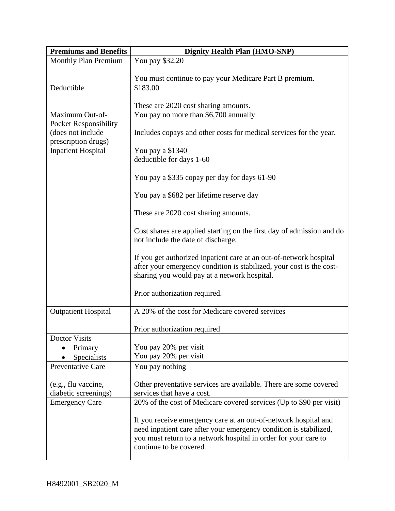| <b>Premiums and Benefits</b>             | <b>Dignity Health Plan (HMO-SNP)</b>                                                                                                 |  |  |  |  |
|------------------------------------------|--------------------------------------------------------------------------------------------------------------------------------------|--|--|--|--|
| <b>Monthly Plan Premium</b>              | You pay \$32.20                                                                                                                      |  |  |  |  |
|                                          | You must continue to pay your Medicare Part B premium.                                                                               |  |  |  |  |
| Deductible                               | \$183.00                                                                                                                             |  |  |  |  |
|                                          |                                                                                                                                      |  |  |  |  |
|                                          | These are 2020 cost sharing amounts.                                                                                                 |  |  |  |  |
| Maximum Out-of-                          | You pay no more than \$6,700 annually                                                                                                |  |  |  |  |
| <b>Pocket Responsibility</b>             |                                                                                                                                      |  |  |  |  |
| (does not include<br>prescription drugs) | Includes copays and other costs for medical services for the year.                                                                   |  |  |  |  |
| <b>Inpatient Hospital</b>                | You pay a \$1340                                                                                                                     |  |  |  |  |
|                                          | deductible for days 1-60                                                                                                             |  |  |  |  |
|                                          |                                                                                                                                      |  |  |  |  |
|                                          | You pay a \$335 copay per day for days 61-90                                                                                         |  |  |  |  |
|                                          | You pay a \$682 per lifetime reserve day                                                                                             |  |  |  |  |
|                                          |                                                                                                                                      |  |  |  |  |
|                                          | These are 2020 cost sharing amounts.                                                                                                 |  |  |  |  |
|                                          |                                                                                                                                      |  |  |  |  |
|                                          | Cost shares are applied starting on the first day of admission and do                                                                |  |  |  |  |
|                                          | not include the date of discharge.                                                                                                   |  |  |  |  |
|                                          | If you get authorized inpatient care at an out-of-network hospital                                                                   |  |  |  |  |
|                                          | after your emergency condition is stabilized, your cost is the cost-                                                                 |  |  |  |  |
|                                          | sharing you would pay at a network hospital.                                                                                         |  |  |  |  |
|                                          |                                                                                                                                      |  |  |  |  |
|                                          | Prior authorization required.                                                                                                        |  |  |  |  |
| <b>Outpatient Hospital</b>               | A 20% of the cost for Medicare covered services                                                                                      |  |  |  |  |
|                                          |                                                                                                                                      |  |  |  |  |
|                                          | Prior authorization required                                                                                                         |  |  |  |  |
| Doctor Visits                            |                                                                                                                                      |  |  |  |  |
| Primary<br>Specialists                   | You pay 20% per visit<br>You pay 20% per visit                                                                                       |  |  |  |  |
| <b>Preventative Care</b>                 | You pay nothing                                                                                                                      |  |  |  |  |
|                                          |                                                                                                                                      |  |  |  |  |
| (e.g., flu vaccine,                      | Other preventative services are available. There are some covered                                                                    |  |  |  |  |
| diabetic screenings)                     | services that have a cost.                                                                                                           |  |  |  |  |
| <b>Emergency Care</b>                    | 20% of the cost of Medicare covered services (Up to \$90 per visit)                                                                  |  |  |  |  |
|                                          |                                                                                                                                      |  |  |  |  |
|                                          | If you receive emergency care at an out-of-network hospital and<br>need inpatient care after your emergency condition is stabilized, |  |  |  |  |
|                                          | you must return to a network hospital in order for your care to                                                                      |  |  |  |  |
|                                          | continue to be covered.                                                                                                              |  |  |  |  |
|                                          |                                                                                                                                      |  |  |  |  |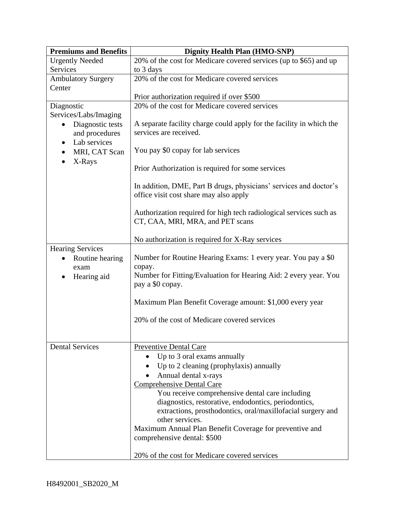| <b>Premiums and Benefits</b>  | <b>Dignity Health Plan (HMO-SNP)</b>                                                                                                                                                                                                                                                                                                                                                                                                                                                                 |  |  |  |  |
|-------------------------------|------------------------------------------------------------------------------------------------------------------------------------------------------------------------------------------------------------------------------------------------------------------------------------------------------------------------------------------------------------------------------------------------------------------------------------------------------------------------------------------------------|--|--|--|--|
| <b>Urgently Needed</b>        | 20% of the cost for Medicare covered services (up to \$65) and up                                                                                                                                                                                                                                                                                                                                                                                                                                    |  |  |  |  |
| Services                      | to 3 days                                                                                                                                                                                                                                                                                                                                                                                                                                                                                            |  |  |  |  |
| <b>Ambulatory Surgery</b>     | 20% of the cost for Medicare covered services                                                                                                                                                                                                                                                                                                                                                                                                                                                        |  |  |  |  |
| Center                        |                                                                                                                                                                                                                                                                                                                                                                                                                                                                                                      |  |  |  |  |
|                               | Prior authorization required if over \$500                                                                                                                                                                                                                                                                                                                                                                                                                                                           |  |  |  |  |
| Diagnostic                    | 20% of the cost for Medicare covered services                                                                                                                                                                                                                                                                                                                                                                                                                                                        |  |  |  |  |
| Services/Labs/Imaging         |                                                                                                                                                                                                                                                                                                                                                                                                                                                                                                      |  |  |  |  |
| Diagnostic tests<br>$\bullet$ | A separate facility charge could apply for the facility in which the                                                                                                                                                                                                                                                                                                                                                                                                                                 |  |  |  |  |
| and procedures                | services are received.                                                                                                                                                                                                                                                                                                                                                                                                                                                                               |  |  |  |  |
| Lab services<br>$\bullet$     |                                                                                                                                                                                                                                                                                                                                                                                                                                                                                                      |  |  |  |  |
| MRI, CAT Scan                 | You pay \$0 copay for lab services                                                                                                                                                                                                                                                                                                                                                                                                                                                                   |  |  |  |  |
| X-Rays                        |                                                                                                                                                                                                                                                                                                                                                                                                                                                                                                      |  |  |  |  |
|                               | Prior Authorization is required for some services                                                                                                                                                                                                                                                                                                                                                                                                                                                    |  |  |  |  |
|                               |                                                                                                                                                                                                                                                                                                                                                                                                                                                                                                      |  |  |  |  |
|                               | In addition, DME, Part B drugs, physicians' services and doctor's                                                                                                                                                                                                                                                                                                                                                                                                                                    |  |  |  |  |
|                               | office visit cost share may also apply                                                                                                                                                                                                                                                                                                                                                                                                                                                               |  |  |  |  |
|                               |                                                                                                                                                                                                                                                                                                                                                                                                                                                                                                      |  |  |  |  |
|                               | Authorization required for high tech radiological services such as<br>CT, CAA, MRI, MRA, and PET scans                                                                                                                                                                                                                                                                                                                                                                                               |  |  |  |  |
|                               |                                                                                                                                                                                                                                                                                                                                                                                                                                                                                                      |  |  |  |  |
|                               | No authorization is required for X-Ray services                                                                                                                                                                                                                                                                                                                                                                                                                                                      |  |  |  |  |
| <b>Hearing Services</b>       |                                                                                                                                                                                                                                                                                                                                                                                                                                                                                                      |  |  |  |  |
| Routine hearing               | Number for Routine Hearing Exams: 1 every year. You pay a \$0                                                                                                                                                                                                                                                                                                                                                                                                                                        |  |  |  |  |
| exam                          | copay.                                                                                                                                                                                                                                                                                                                                                                                                                                                                                               |  |  |  |  |
| Hearing aid<br>$\bullet$      | Number for Fitting/Evaluation for Hearing Aid: 2 every year. You                                                                                                                                                                                                                                                                                                                                                                                                                                     |  |  |  |  |
|                               | pay a \$0 copay.                                                                                                                                                                                                                                                                                                                                                                                                                                                                                     |  |  |  |  |
|                               |                                                                                                                                                                                                                                                                                                                                                                                                                                                                                                      |  |  |  |  |
|                               | Maximum Plan Benefit Coverage amount: \$1,000 every year<br>20% of the cost of Medicare covered services                                                                                                                                                                                                                                                                                                                                                                                             |  |  |  |  |
|                               |                                                                                                                                                                                                                                                                                                                                                                                                                                                                                                      |  |  |  |  |
|                               |                                                                                                                                                                                                                                                                                                                                                                                                                                                                                                      |  |  |  |  |
|                               |                                                                                                                                                                                                                                                                                                                                                                                                                                                                                                      |  |  |  |  |
|                               |                                                                                                                                                                                                                                                                                                                                                                                                                                                                                                      |  |  |  |  |
|                               |                                                                                                                                                                                                                                                                                                                                                                                                                                                                                                      |  |  |  |  |
|                               |                                                                                                                                                                                                                                                                                                                                                                                                                                                                                                      |  |  |  |  |
|                               |                                                                                                                                                                                                                                                                                                                                                                                                                                                                                                      |  |  |  |  |
|                               |                                                                                                                                                                                                                                                                                                                                                                                                                                                                                                      |  |  |  |  |
|                               |                                                                                                                                                                                                                                                                                                                                                                                                                                                                                                      |  |  |  |  |
|                               |                                                                                                                                                                                                                                                                                                                                                                                                                                                                                                      |  |  |  |  |
|                               |                                                                                                                                                                                                                                                                                                                                                                                                                                                                                                      |  |  |  |  |
|                               |                                                                                                                                                                                                                                                                                                                                                                                                                                                                                                      |  |  |  |  |
|                               |                                                                                                                                                                                                                                                                                                                                                                                                                                                                                                      |  |  |  |  |
|                               |                                                                                                                                                                                                                                                                                                                                                                                                                                                                                                      |  |  |  |  |
|                               |                                                                                                                                                                                                                                                                                                                                                                                                                                                                                                      |  |  |  |  |
|                               |                                                                                                                                                                                                                                                                                                                                                                                                                                                                                                      |  |  |  |  |
| <b>Dental Services</b>        | Preventive Dental Care<br>Up to 3 oral exams annually<br>Up to 2 cleaning (prophylaxis) annually<br>Annual dental x-rays<br><b>Comprehensive Dental Care</b><br>You receive comprehensive dental care including<br>diagnostics, restorative, endodontics, periodontics,<br>extractions, prosthodontics, oral/maxillofacial surgery and<br>other services.<br>Maximum Annual Plan Benefit Coverage for preventive and<br>comprehensive dental: \$500<br>20% of the cost for Medicare covered services |  |  |  |  |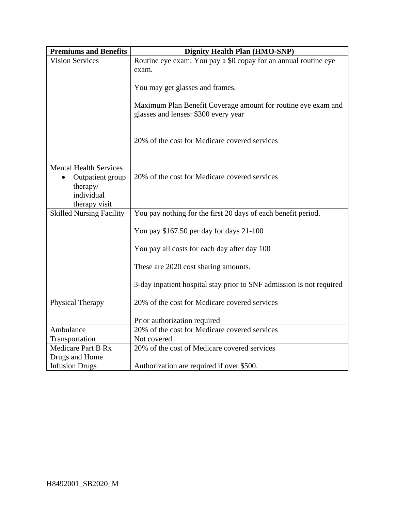| <b>Premiums and Benefits</b>    | <b>Dignity Health Plan (HMO-SNP)</b>                                                                  |  |  |  |
|---------------------------------|-------------------------------------------------------------------------------------------------------|--|--|--|
| <b>Vision Services</b>          | Routine eye exam: You pay a \$0 copay for an annual routine eye                                       |  |  |  |
|                                 | exam.                                                                                                 |  |  |  |
|                                 |                                                                                                       |  |  |  |
|                                 | You may get glasses and frames.                                                                       |  |  |  |
|                                 | Maximum Plan Benefit Coverage amount for routine eye exam and<br>glasses and lenses: \$300 every year |  |  |  |
|                                 |                                                                                                       |  |  |  |
|                                 | 20% of the cost for Medicare covered services                                                         |  |  |  |
|                                 |                                                                                                       |  |  |  |
|                                 |                                                                                                       |  |  |  |
| <b>Mental Health Services</b>   |                                                                                                       |  |  |  |
| Outpatient group<br>therapy/    | 20% of the cost for Medicare covered services                                                         |  |  |  |
| individual                      |                                                                                                       |  |  |  |
| therapy visit                   |                                                                                                       |  |  |  |
| <b>Skilled Nursing Facility</b> | You pay nothing for the first 20 days of each benefit period.                                         |  |  |  |
|                                 | You pay \$167.50 per day for days 21-100                                                              |  |  |  |
|                                 | You pay all costs for each day after day 100                                                          |  |  |  |
|                                 | These are 2020 cost sharing amounts.                                                                  |  |  |  |
|                                 | 3-day inpatient hospital stay prior to SNF admission is not required                                  |  |  |  |
| Physical Therapy                | 20% of the cost for Medicare covered services                                                         |  |  |  |
|                                 | Prior authorization required                                                                          |  |  |  |
| Ambulance                       | 20% of the cost for Medicare covered services                                                         |  |  |  |
| Transportation                  | Not covered                                                                                           |  |  |  |
| <b>Medicare Part B Rx</b>       | 20% of the cost of Medicare covered services                                                          |  |  |  |
| Drugs and Home                  |                                                                                                       |  |  |  |
| <b>Infusion Drugs</b>           | Authorization are required if over \$500.                                                             |  |  |  |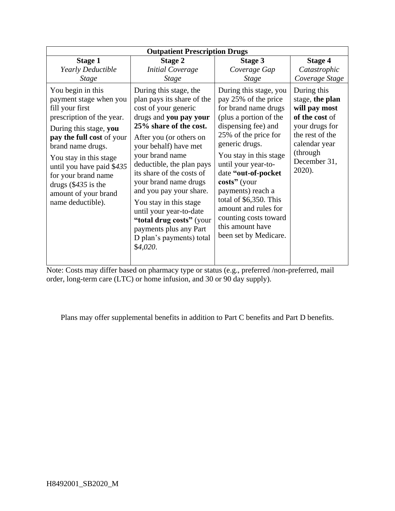| <b>Outpatient Prescription Drugs</b>                                                                                                                                                                                                                                                                                        |                                                                                                                                                                                                                                                                                                                                                                                                                                                                          |                                                                                                                                                                                                                                                                                                                                                                                                        |                                                                                                                                                               |  |  |  |
|-----------------------------------------------------------------------------------------------------------------------------------------------------------------------------------------------------------------------------------------------------------------------------------------------------------------------------|--------------------------------------------------------------------------------------------------------------------------------------------------------------------------------------------------------------------------------------------------------------------------------------------------------------------------------------------------------------------------------------------------------------------------------------------------------------------------|--------------------------------------------------------------------------------------------------------------------------------------------------------------------------------------------------------------------------------------------------------------------------------------------------------------------------------------------------------------------------------------------------------|---------------------------------------------------------------------------------------------------------------------------------------------------------------|--|--|--|
| <b>Stage 1</b><br>Yearly Deductible<br><i>Stage</i>                                                                                                                                                                                                                                                                         | <b>Stage 2</b><br><b>Initial Coverage</b><br><b>Stage</b>                                                                                                                                                                                                                                                                                                                                                                                                                | <b>Stage 3</b><br>Coverage Gap<br><b>Stage</b>                                                                                                                                                                                                                                                                                                                                                         | <b>Stage 4</b><br>Catastrophic<br>Coverage Stage                                                                                                              |  |  |  |
| You begin in this<br>payment stage when you<br>fill your first<br>prescription of the year.<br>During this stage, you<br>pay the full cost of your<br>brand name drugs.<br>You stay in this stage<br>until you have paid \$435<br>for your brand name<br>drugs $(\$435$ is the<br>amount of your brand<br>name deductible). | During this stage, the<br>plan pays its share of the<br>cost of your generic<br>drugs and you pay your<br>25% share of the cost.<br>After you (or others on<br>your behalf) have met<br>your brand name<br>deductible, the plan pays<br>its share of the costs of<br>your brand name drugs<br>and you pay your share.<br>You stay in this stage<br>until your year-to-date<br>"total drug costs" (your<br>payments plus any Part<br>D plan's payments) total<br>\$4,020. | During this stage, you<br>pay 25% of the price<br>for brand name drugs<br>(plus a portion of the<br>dispensing fee) and<br>25% of the price for<br>generic drugs.<br>You stay in this stage<br>until your year-to-<br>date "out-of-pocket<br>costs" (your<br>payments) reach a<br>total of \$6,350. This<br>amount and rules for<br>counting costs toward<br>this amount have<br>been set by Medicare. | During this<br>stage, the plan<br>will pay most<br>of the cost of<br>your drugs for<br>the rest of the<br>calendar year<br>(through<br>December 31,<br>2020). |  |  |  |

Note: Costs may differ based on pharmacy type or status (e.g., preferred /non-preferred, mail order, long-term care (LTC) or home infusion, and 30 or 90 day supply).

Plans may offer supplemental benefits in addition to Part C benefits and Part D benefits.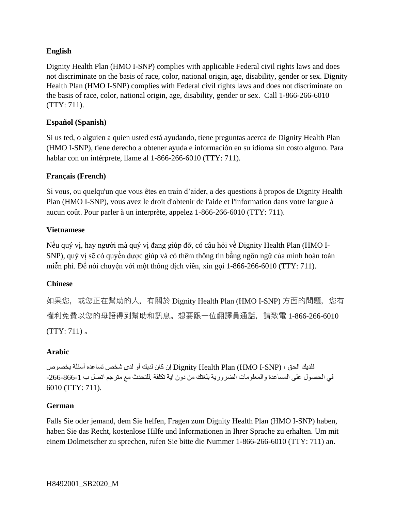#### **English**

Dignity Health Plan (HMO I-SNP) complies with applicable Federal civil rights laws and does not discriminate on the basis of race, color, national origin, age, disability, gender or sex. Dignity Health Plan (HMO I-SNP) complies with Federal civil rights laws and does not discriminate on the basis of race, color, national origin, age, disability, gender or sex. Call 1-866-266-6010 (TTY: 711).

#### **Español (Spanish)**

Si us ted, o alguien a quien usted está ayudando, tiene preguntas acerca de Dignity Health Plan (HMO I-SNP), tiene derecho a obtener ayuda e información en su idioma sin costo alguno. Para hablar con un intérprete, llame al 1-866-266-6010 (TTY: 711).

#### **Français (French)**

Si vous, ou quelqu'un que vous êtes en train d'aider, a des questions à propos de Dignity Health Plan (HMO I-SNP), vous avez le droit d'obtenir de l'aide et l'information dans votre langue à aucun coût. Pour parler à un interprète, appelez 1-866-266-6010 (TTY: 711).

#### **Vietnamese**

Nếu quý vị, hay người mà quý vị đang giúp đỡ, có câu hỏi về Dignity Health Plan (HMO I-SNP), quý vị sẽ có quyền được giúp và có thêm thông tin bằng ngôn ngữ của mình hoàn toàn miễn phí. Để nói chuyện với một thông dịch viên, xin gọi 1-866-266-6010 (TTY: 711).

#### **Chinese**

如果您,或您正在幫助的人,有關於 Dignity Health Plan (HMO I-SNP) 方面的問題,您有 權利免費以您的母語得到幫助和訊息。想要跟一位翻譯員通話,請致電 1-866-266-6010  $(TTY: 711)$ 

#### **Arabic**

فلديك الحق ، (SNP-I HMO (Plan Health Dignity إن كان لديك أو لدى شخص تساعده أسئلة بخصوص في الحصول على المساعدة والمعلومات الضرورية بلغتك من دون اية تكلفة .للتحدث مع مترجم اتصل ب -266-866-1 6010 (TTY: 711).

#### **German**

Falls Sie oder jemand, dem Sie helfen, Fragen zum Dignity Health Plan (HMO I-SNP) haben, haben Sie das Recht, kostenlose Hilfe und Informationen in Ihrer Sprache zu erhalten. Um mit einem Dolmetscher zu sprechen, rufen Sie bitte die Nummer 1-866-266-6010 (TTY: 711) an.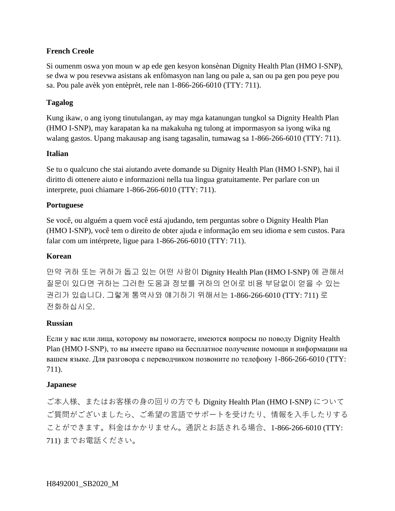#### **French Creole**

Si oumenm oswa yon moun w ap ede gen kesyon konsènan Dignity Health Plan (HMO I-SNP), se dwa w pou resevwa asistans ak enfòmasyon nan lang ou pale a, san ou pa gen pou peye pou sa. Pou pale avèk yon entèprèt, rele nan 1-866-266-6010 (TTY: 711).

#### **Tagalog**

Kung ikaw, o ang iyong tinutulangan, ay may mga katanungan tungkol sa Dignity Health Plan (HMO I-SNP), may karapatan ka na makakuha ng tulong at impormasyon sa iyong wika ng walang gastos. Upang makausap ang isang tagasalin, tumawag sa 1-866-266-6010 (TTY: 711).

#### **Italian**

Se tu o qualcuno che stai aiutando avete domande su Dignity Health Plan (HMO I-SNP), hai il diritto di ottenere aiuto e informazioni nella tua lingua gratuitamente. Per parlare con un interprete, puoi chiamare 1-866-266-6010 (TTY: 711).

#### **Portuguese**

Se você, ou alguém a quem você está ajudando, tem perguntas sobre o Dignity Health Plan (HMO I-SNP), você tem o direito de obter ajuda e informação em seu idioma e sem custos. Para falar com um intérprete, ligue para 1-866-266-6010 (TTY: 711).

#### **Korean**

만약 귀하 또는 귀하가 돕고 있는 어떤 사람이 Dignity Health Plan (HMO I-SNP) 에 관해서 질문이 있다면 귀하는 그러한 도움과 정보를 귀하의 언어로 비용 부담없이 얻을 수 있는 권리가 있습니다. 그렇게 통역사와 얘기하기 위해서는 1-866-266-6010 (TTY: 711) 로 전화하십시오.

#### **Russian**

Если у вас или лица, которому вы помогаете, имеются вопросы по поводу Dignity Health Plan (HMO I-SNP), то вы имеете право на бесплатное получение помощи и информации на вашем языке. Для разговора с переводчиком позвоните по телефону 1-866-266-6010 (TTY: 711).

#### **Japanese**

ご本人様、またはお客様の身の回りの方でも Dignity Health Plan (HMO I-SNP) について ご質問がございましたら、ご希望の言語でサポートを受けたり、情報を入手したりする ことができます。料金はかかりません。通訳とお話される場合、1-866-266-6010 (TTY: 711) までお電話ください。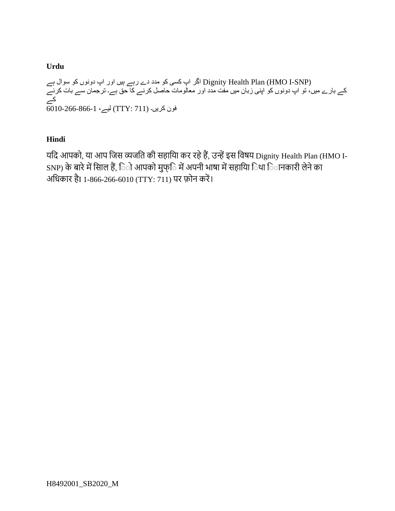#### **Urdu**

(Dignity Health Plan (HMO I-SNP اگر اپ کسی کو مدد دے رہے ہيں اور اپ دونوں کو سوال ہے کے بارے ميں، تو اپ دونوں کو اپنی زبان ميں مفت مدد اور معالومات حاصل کرنے کا حق ہے۔ ترجمان سے بات کرنے کے  $\overline{6010}$ -266-866-1 فون کریں۔ (711 : 77)  $\overline{l}$ ليے،

#### **Hindi**

यदि आपको, या आप दिस व्यिदि की सहादया कर रहेहैं, उन्हेंइस दिषय Dignity Health Plan (HMO I-SNP) के बारे में सािल हैं, िो आपको मुफ्ि में अपनी भाषा में सहायाि िथा िानकारी लेने का अदिकार हैI 1-866-266-6010 (TTY: 711) पर फ़ोन करें ।